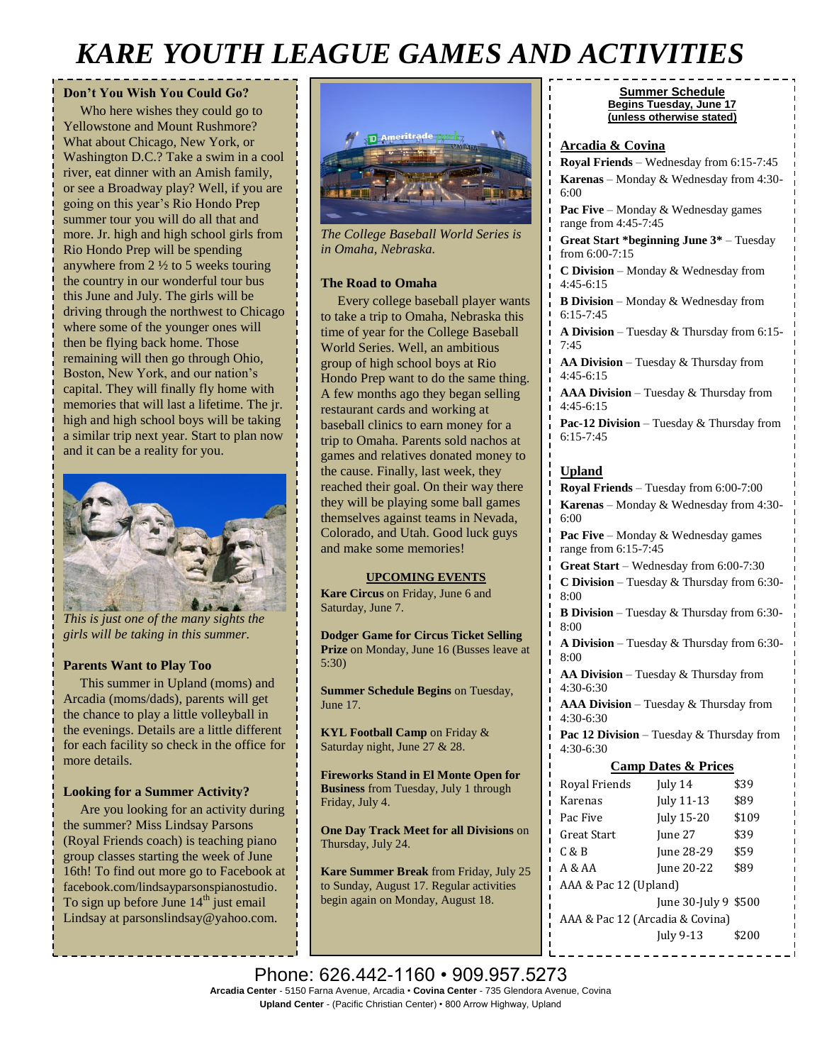# *KARE YOUTH LEAGUE GAMES AND ACTIVITIES*

#### **Don't You Wish You Could Go?**

 Who here wishes they could go to Yellowstone and Mount Rushmore? What about Chicago, New York, or Washington D.C.? Take a swim in a cool river, eat dinner with an Amish family, or see a Broadway play? Well, if you are going on this year's Rio Hondo Prep summer tour you will do all that and more. Jr. high and high school girls from Rio Hondo Prep will be spending anywhere from 2 ½ to 5 weeks touring the country in our wonderful tour bus this June and July. The girls will be driving through the northwest to Chicago where some of the younger ones will then be flying back home. Those remaining will then go through Ohio, Boston, New York, and our nation's capital. They will finally fly home with memories that will last a lifetime. The jr. high and high school boys will be taking a similar trip next year. Start to plan now and it can be a reality for you.



*This is just one of the many sights the girls will be taking in this summer.*

#### **Parents Want to Play Too**

 This summer in Upland (moms) and Arcadia (moms/dads), parents will get the chance to play a little volleyball in the evenings. Details are a little different for each facility so check in the office for more details.

#### **Looking for a Summer Activity?**

 Are you looking for an activity during the summer? Miss Lindsay Parsons (Royal Friends coach) is teaching piano group classes starting the week of June 16th! To find out more go to Facebook at facebook.com/lindsayparsonspianostudio. To sign up before June  $14<sup>th</sup>$  just email Lindsay at [parsonslindsay@yahoo.com.](mailto:parsonslindsay@yahoo.com)



*The College Baseball World Series is in Omaha, Nebraska.*

#### **The Road to Omaha**

 Every college baseball player wants to take a trip to Omaha, Nebraska this time of year for the College Baseball World Series. Well, an ambitious group of high school boys at Rio Hondo Prep want to do the same thing. A few months ago they began selling restaurant cards and working at baseball clinics to earn money for a trip to Omaha. Parents sold nachos at games and relatives donated money to the cause. Finally, last week, they reached their goal. On their way there they will be playing some ball games themselves against teams in Nevada, Colorado, and Utah. Good luck guys and make some memories!

#### **UPCOMING EVENTS**

**Kare Circus** on Friday, June 6 and Saturday, June 7.

**Dodger Game for Circus Ticket Selling**  Prize on Monday, June 16 (Busses leave at 5:30)

**Summer Schedule Begins** on Tuesday, June 17.

**KYL Football Camp on Friday &** Saturday night, June 27 & 28.

**Fireworks Stand in El Monte Open for Business** from Tuesday, July 1 through Friday, July 4.

**One Day Track Meet for all Divisions** on Thursday, July 24.

**Kare Summer Break** from Friday, July 25 to Sunday, August 17. Regular activities begin again on Monday, August 18.

#### **Summer Schedule Begins Tuesday, June 17 (unless otherwise stated)**

#### **Arcadia & Covina**

**Royal Friends** – Wednesday from 6:15-7:45 **Karenas** – Monday & Wednesday from 4:30- 6:00

Pac Five – Monday & Wednesday games range from 4:45-7:45

**Great Start \*beginning June 3\*** – Tuesday from 6:00-7:15

**C Division** – Monday & Wednesday from 4:45-6:15

**B Division** – Monday & Wednesday from 6:15-7:45

**A Division** – Tuesday & Thursday from 6:15- 7:45

**AA Division** – Tuesday & Thursday from 4:45-6:15

**AAA Division** – Tuesday & Thursday from 4:45-6:15

**Pac-12 Division** – Tuesday & Thursday from 6:15-7:45

#### **Upland**

**Royal Friends** – Tuesday from 6:00-7:00 **Karenas** – Monday & Wednesday from 4:30- 6:00

**Pac Five** – Monday & Wednesday games range from 6:15-7:45

**Great Start** – Wednesday from 6:00-7:30 **C Division** – Tuesday & Thursday from 6:30- 8:00

**B Division** – Tuesday & Thursday from 6:30- 8:00

**A Division** – Tuesday & Thursday from 6:30- 8:00

**AA Division** – Tuesday & Thursday from 4:30-6:30

**AAA Division** – Tuesday & Thursday from 4:30-6:30

**Pac 12 Division** – Tuesday & Thursday from 4:30-6:30

#### **Camp Dates & Prices**

| Royal Friends                   | July 14                 | \$39  |
|---------------------------------|-------------------------|-------|
| Karenas                         | July 11-13              | \$89  |
| Pac Five                        | July 15-20              | \$109 |
| Great Start                     | June 27                 | \$39  |
| C & B                           | June 28-29              | \$59  |
| A & A                           | June 20-22              | \$89  |
| AAA & Pac 12 (Upland)           |                         |       |
|                                 | June $30$ -July 9 \$500 |       |
| AAA & Pac 12 (Arcadia & Covina) |                         |       |
|                                 | July 9-13               | \$200 |